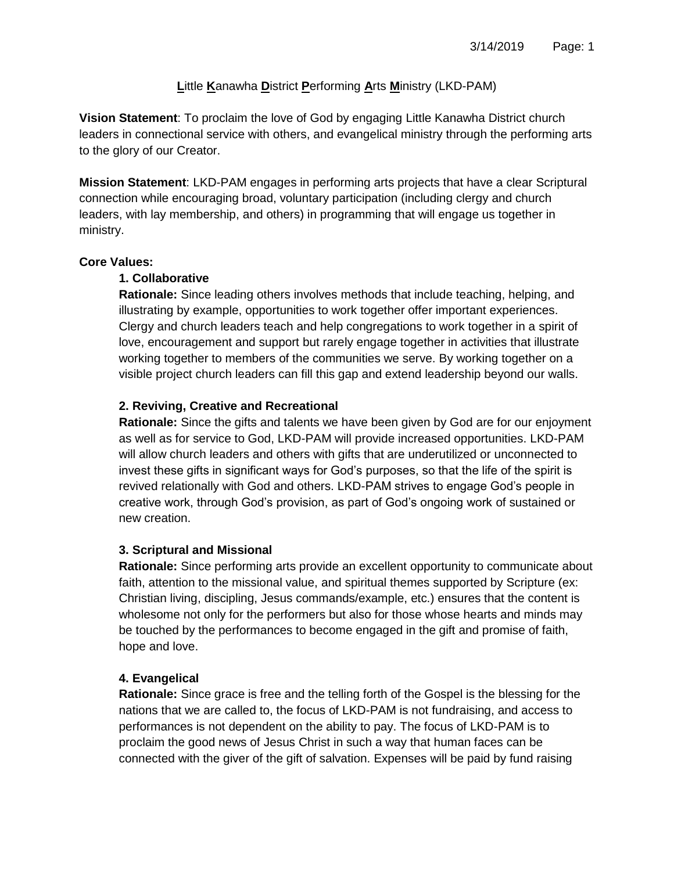# **L**ittle **K**anawha **D**istrict **P**erforming **A**rts **M**inistry (LKD-PAM)

**Vision Statement**: To proclaim the love of God by engaging Little Kanawha District church leaders in connectional service with others, and evangelical ministry through the performing arts to the glory of our Creator.

**Mission Statement**: LKD-PAM engages in performing arts projects that have a clear Scriptural connection while encouraging broad, voluntary participation (including clergy and church leaders, with lay membership, and others) in programming that will engage us together in ministry.

### **Core Values:**

### **1. Collaborative**

**Rationale:** Since leading others involves methods that include teaching, helping, and illustrating by example, opportunities to work together offer important experiences. Clergy and church leaders teach and help congregations to work together in a spirit of love, encouragement and support but rarely engage together in activities that illustrate working together to members of the communities we serve. By working together on a visible project church leaders can fill this gap and extend leadership beyond our walls.

## **2. Reviving, Creative and Recreational**

**Rationale:** Since the gifts and talents we have been given by God are for our enjoyment as well as for service to God, LKD-PAM will provide increased opportunities. LKD-PAM will allow church leaders and others with gifts that are underutilized or unconnected to invest these gifts in significant ways for God's purposes, so that the life of the spirit is revived relationally with God and others. LKD-PAM strives to engage God's people in creative work, through God's provision, as part of God's ongoing work of sustained or new creation.

## **3. Scriptural and Missional**

**Rationale:** Since performing arts provide an excellent opportunity to communicate about faith, attention to the missional value, and spiritual themes supported by Scripture (ex: Christian living, discipling, Jesus commands/example, etc.) ensures that the content is wholesome not only for the performers but also for those whose hearts and minds may be touched by the performances to become engaged in the gift and promise of faith, hope and love.

## **4. Evangelical**

**Rationale:** Since grace is free and the telling forth of the Gospel is the blessing for the nations that we are called to, the focus of LKD-PAM is not fundraising, and access to performances is not dependent on the ability to pay. The focus of LKD-PAM is to proclaim the good news of Jesus Christ in such a way that human faces can be connected with the giver of the gift of salvation. Expenses will be paid by fund raising